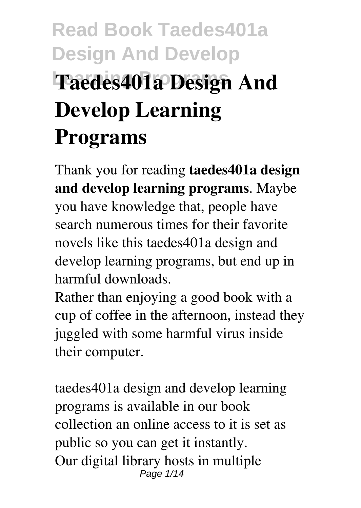# **Read Book Taedes401a Design And Develop Learning Programs Taedes401a Design And Develop Learning Programs**

Thank you for reading **taedes401a design and develop learning programs**. Maybe you have knowledge that, people have search numerous times for their favorite novels like this taedes401a design and develop learning programs, but end up in harmful downloads.

Rather than enjoying a good book with a cup of coffee in the afternoon, instead they juggled with some harmful virus inside their computer.

taedes401a design and develop learning programs is available in our book collection an online access to it is set as public so you can get it instantly. Our digital library hosts in multiple Page 1/14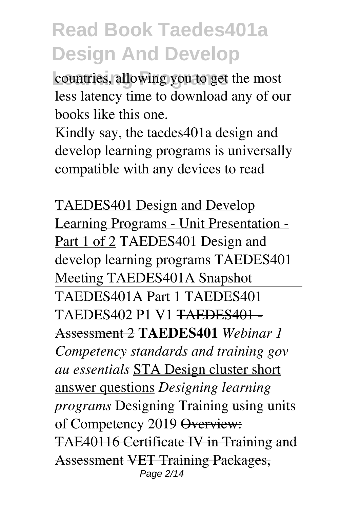countries, allowing you to get the most less latency time to download any of our books like this one.

Kindly say, the taedes401a design and develop learning programs is universally compatible with any devices to read

TAEDES401 Design and Develop Learning Programs - Unit Presentation - Part 1 of 2 TAEDES401 Design and develop learning programs TAEDES401 Meeting TAEDES401A Snapshot TAEDES401A Part 1 TAEDES401 TAEDES402 P1 V1 TAEDES401 - Assessment 2 **TAEDES401** *Webinar 1 Competency standards and training gov au essentials* STA Design cluster short answer questions *Designing learning programs* Designing Training using units of Competency 2019 Overview: TAE40116 Certificate IV in Training and Assessment VET Training Packages, Page 2/14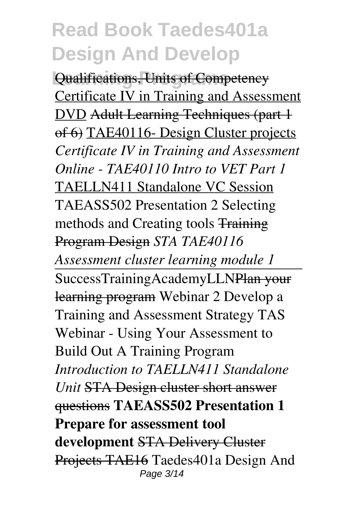**Qualifications, Units of Competency** Certificate IV in Training and Assessment DVD Adult Learning Techniques (part 1 of 6) TAE40116- Design Cluster projects *Certificate IV in Training and Assessment Online - TAE40110 Intro to VET Part 1* TAELLN411 Standalone VC Session TAEASS502 Presentation 2 Selecting methods and Creating tools Training Program Design *STA TAE40116 Assessment cluster learning module 1* SuccessTrainingAcademyLLNPlan your learning program Webinar 2 Develop a Training and Assessment Strategy TAS Webinar - Using Your Assessment to Build Out A Training Program *Introduction to TAELLN411 Standalone Unit* STA Design cluster short answer questions **TAEASS502 Presentation 1 Prepare for assessment tool development** STA Delivery Cluster Projects TAE16 Taedes401a Design And Page 3/14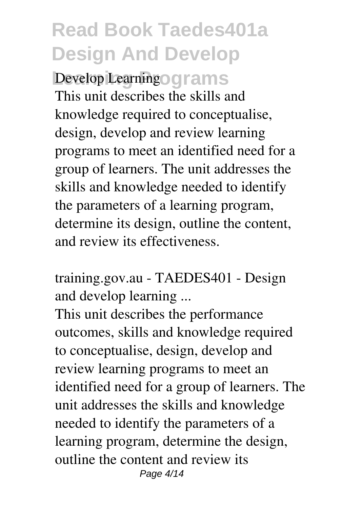**Develop Learning our ams** This unit describes the skills and knowledge required to conceptualise, design, develop and review learning programs to meet an identified need for a group of learners. The unit addresses the skills and knowledge needed to identify the parameters of a learning program, determine its design, outline the content, and review its effectiveness.

training.gov.au - TAEDES401 - Design and develop learning ...

This unit describes the performance outcomes, skills and knowledge required to conceptualise, design, develop and review learning programs to meet an identified need for a group of learners. The unit addresses the skills and knowledge needed to identify the parameters of a learning program, determine the design, outline the content and review its Page 4/14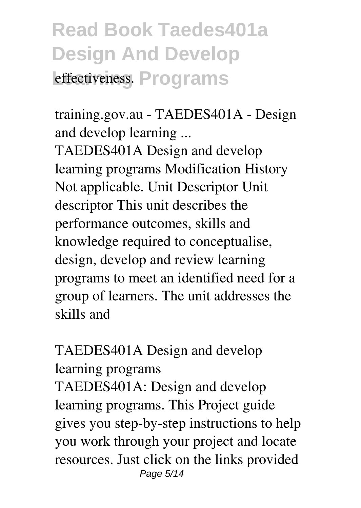## **Read Book Taedes401a Design And Develop Leffectiveness. Programs**

training.gov.au - TAEDES401A - Design and develop learning ...

TAEDES401A Design and develop learning programs Modification History Not applicable. Unit Descriptor Unit descriptor This unit describes the performance outcomes, skills and knowledge required to conceptualise, design, develop and review learning programs to meet an identified need for a group of learners. The unit addresses the skills and

TAEDES401A Design and develop learning programs TAEDES401A: Design and develop learning programs. This Project guide gives you step-by-step instructions to help you work through your project and locate resources. Just click on the links provided Page 5/14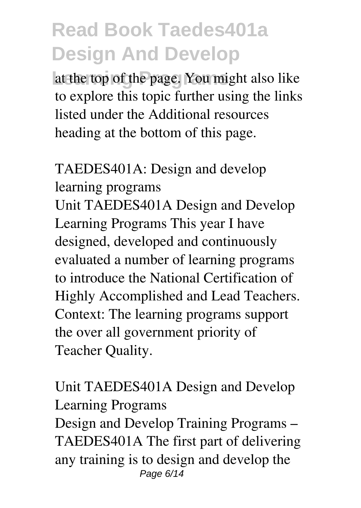**Learning Programs** at the top of the page. You might also like to explore this topic further using the links listed under the Additional resources heading at the bottom of this page.

TAEDES401A: Design and develop learning programs Unit TAEDES401A Design and Develop Learning Programs This year I have designed, developed and continuously evaluated a number of learning programs to introduce the National Certification of Highly Accomplished and Lead Teachers.

Context: The learning programs support the over all government priority of Teacher Quality.

Unit TAEDES401A Design and Develop Learning Programs

Design and Develop Training Programs – TAEDES401A The first part of delivering any training is to design and develop the Page 6/14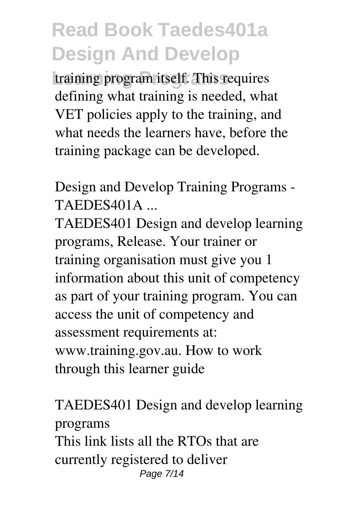training program itself. This requires defining what training is needed, what VET policies apply to the training, and what needs the learners have, before the training package can be developed.

Design and Develop Training Programs - TAEDES401A ...

TAEDES401 Design and develop learning programs, Release. Your trainer or training organisation must give you 1 information about this unit of competency as part of your training program. You can access the unit of competency and assessment requirements at: www.training.gov.au. How to work through this learner guide

TAEDES401 Design and develop learning programs This link lists all the RTOs that are currently registered to deliver Page 7/14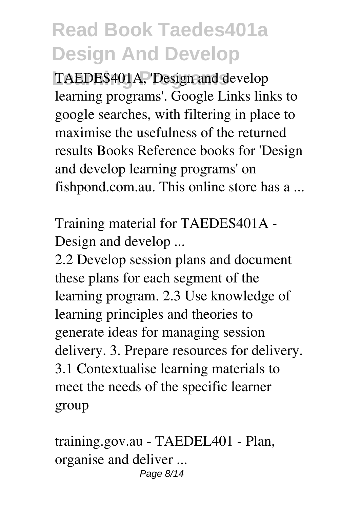TAEDES401A, 'Design and develop learning programs'. Google Links links to google searches, with filtering in place to maximise the usefulness of the returned results Books Reference books for 'Design and develop learning programs' on fishpond.com.au. This online store has a ...

Training material for TAEDES401A - Design and develop ...

2.2 Develop session plans and document these plans for each segment of the learning program. 2.3 Use knowledge of learning principles and theories to generate ideas for managing session delivery. 3. Prepare resources for delivery. 3.1 Contextualise learning materials to meet the needs of the specific learner group

training.gov.au - TAEDEL401 - Plan, organise and deliver ... Page 8/14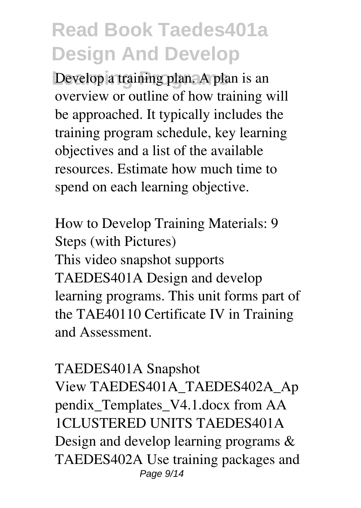Develop a training plan. A plan is an overview or outline of how training will be approached. It typically includes the training program schedule, key learning objectives and a list of the available resources. Estimate how much time to spend on each learning objective.

How to Develop Training Materials: 9 Steps (with Pictures) This video snapshot supports TAEDES401A Design and develop learning programs. This unit forms part of the TAE40110 Certificate IV in Training and Assessment.

#### TAEDES401A Snapshot

View TAEDES401A\_TAEDES402A\_Ap pendix\_Templates\_V4.1.docx from AA 1CLUSTERED UNITS TAEDES401A Design and develop learning programs & TAEDES402A Use training packages and Page 9/14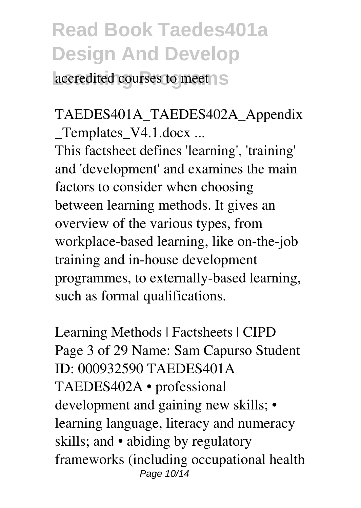accredited courses to meet

#### TAEDES401A\_TAEDES402A\_Appendix Templates V4.1.docx ...

This factsheet defines 'learning', 'training' and 'development' and examines the main factors to consider when choosing between learning methods. It gives an overview of the various types, from workplace-based learning, like on-the-job training and in-house development programmes, to externally-based learning, such as formal qualifications.

Learning Methods | Factsheets | CIPD Page 3 of 29 Name: Sam Capurso Student ID: 000932590 TAEDES401A TAEDES402A • professional development and gaining new skills; • learning language, literacy and numeracy skills; and • abiding by regulatory frameworks (including occupational health Page 10/14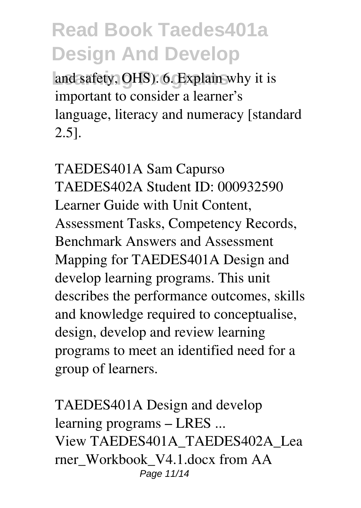and safety, OHS). 6. Explain why it is important to consider a learner's language, literacy and numeracy [standard 2.5].

TAEDES401A Sam Capurso TAEDES402A Student ID: 000932590 Learner Guide with Unit Content, Assessment Tasks, Competency Records, Benchmark Answers and Assessment Mapping for TAEDES401A Design and develop learning programs. This unit describes the performance outcomes, skills and knowledge required to conceptualise, design, develop and review learning programs to meet an identified need for a group of learners.

TAEDES401A Design and develop learning programs – LRES ... View TAEDES401A\_TAEDES402A\_Lea rner\_Workbook\_V4.1.docx from AA Page 11/14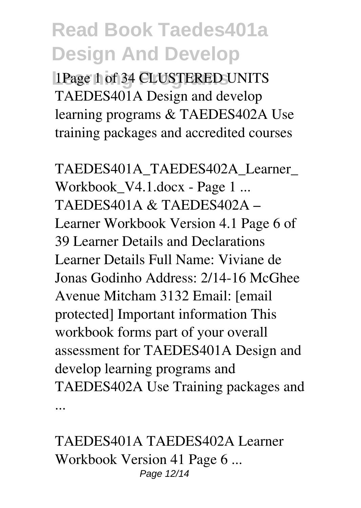**Learning Programs** 1Page 1 of 34 CLUSTERED UNITS TAEDES401A Design and develop learning programs & TAEDES402A Use training packages and accredited courses

TAEDES401A\_TAEDES402A\_Learner\_ Workbook V4.1.docx - Page 1 ... TAEDES401A & TAEDES402A – Learner Workbook Version 4.1 Page 6 of 39 Learner Details and Declarations Learner Details Full Name: Viviane de Jonas Godinho Address: 2/14-16 McGhee Avenue Mitcham 3132 Email: [email protected] Important information This workbook forms part of your overall assessment for TAEDES401A Design and develop learning programs and TAEDES402A Use Training packages and ...

TAEDES401A TAEDES402A Learner Workbook Version 41 Page 6 ... Page 12/14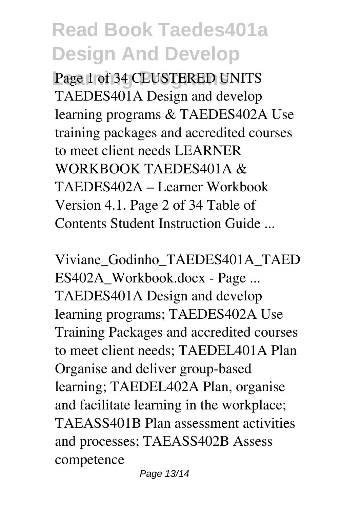**Learning Programs** Page 1 of 34 CLUSTERED UNITS TAEDES401A Design and develop learning programs & TAEDES402A Use training packages and accredited courses to meet client needs LEARNER WORKBOOK TAEDES401A & TAEDES402A – Learner Workbook Version 4.1. Page 2 of 34 Table of Contents Student Instruction Guide ...

Viviane\_Godinho\_TAEDES401A\_TAED ES402A\_Workbook.docx - Page ... TAEDES401A Design and develop learning programs; TAEDES402A Use Training Packages and accredited courses to meet client needs; TAEDEL401A Plan Organise and deliver group-based learning; TAEDEL402A Plan, organise and facilitate learning in the workplace; TAEASS401B Plan assessment activities and processes; TAEASS402B Assess competence